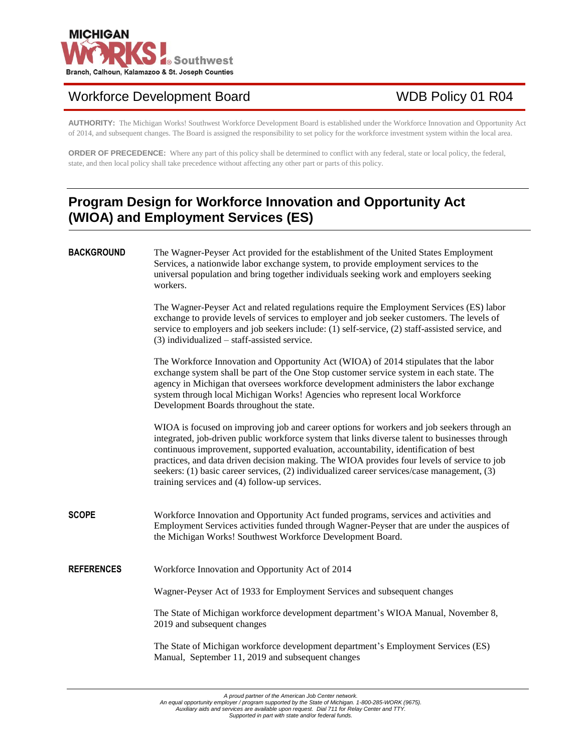

# Workforce Development Board WDB Policy 01 R04

**AUTHORITY:** The Michigan Works! Southwest Workforce Development Board is established under the Workforce Innovation and Opportunity Act of 2014, and subsequent changes. The Board is assigned the responsibility to set policy for the workforce investment system within the local area.

**ORDER OF PRECEDENCE:** Where any part of this policy shall be determined to conflict with any federal, state or local policy, the federal, state, and then local policy shall take precedence without affecting any other part or parts of this policy.

# **Program Design for Workforce Innovation and Opportunity Act (WIOA) and Employment Services (ES)**

# **BACKGROUND** The Wagner-Peyser Act provided for the establishment of the United States Employment Services, a nationwide labor exchange system, to provide employment services to the universal population and bring together individuals seeking work and employers seeking workers. The Wagner-Peyser Act and related regulations require the Employment Services (ES) labor exchange to provide levels of services to employer and job seeker customers. The levels of service to employers and job seekers include: (1) self-service, (2) staff-assisted service, and (3) individualized – staff-assisted service. The Workforce Innovation and Opportunity Act (WIOA) of 2014 stipulates that the labor exchange system shall be part of the One Stop customer service system in each state. The agency in Michigan that oversees workforce development administers the labor exchange system through local Michigan Works! Agencies who represent local Workforce Development Boards throughout the state. WIOA is focused on improving job and career options for workers and job seekers through an integrated, job-driven public workforce system that links diverse talent to businesses through continuous improvement, supported evaluation, accountability, identification of best practices, and data driven decision making. The WIOA provides four levels of service to job seekers: (1) basic career services, (2) individualized career services/case management, (3) training services and (4) follow-up services. **SCOPE** Workforce Innovation and Opportunity Act funded programs, services and activities and Employment Services activities funded through Wagner-Peyser that are under the auspices of the Michigan Works! Southwest Workforce Development Board. **REFERENCES** Workforce Innovation and Opportunity Act of 2014 Wagner-Peyser Act of 1933 for Employment Services and subsequent changes The State of Michigan workforce development department's WIOA Manual, November 8, 2019 and subsequent changes The State of Michigan workforce development department's Employment Services (ES) Manual, September 11, 2019 and subsequent changes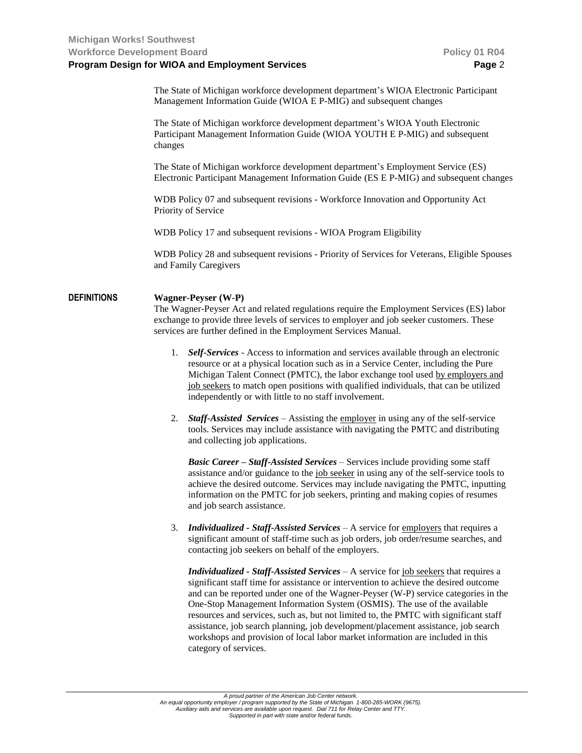The State of Michigan workforce development department's WIOA Electronic Participant Management Information Guide (WIOA E P-MIG) and subsequent changes

The State of Michigan workforce development department's WIOA Youth Electronic Participant Management Information Guide (WIOA YOUTH E P-MIG) and subsequent changes

The State of Michigan workforce development department's Employment Service (ES) Electronic Participant Management Information Guide (ES E P-MIG) and subsequent changes

WDB Policy 07 and subsequent revisions - Workforce Innovation and Opportunity Act Priority of Service

WDB Policy 17 and subsequent revisions - WIOA Program Eligibility

WDB Policy 28 and subsequent revisions - Priority of Services for Veterans, Eligible Spouses and Family Caregivers

# **DEFINITIONS Wagner-Peyser (W-P)**

The Wagner-Peyser Act and related regulations require the Employment Services (ES) labor exchange to provide three levels of services to employer and job seeker customers. These services are further defined in the Employment Services Manual.

- 1. *Self-Services* Access to information and services available through an electronic resource or at a physical location such as in a Service Center, including the Pure Michigan Talent Connect (PMTC), the labor exchange tool used by employers and job seekers to match open positions with qualified individuals, that can be utilized independently or with little to no staff involvement.
- 2. *Staff-Assisted Services* Assisting the employer in using any of the self-service tools. Services may include assistance with navigating the PMTC and distributing and collecting job applications.

*Basic Career – Staff-Assisted Services* – Services include providing some staff assistance and/or guidance to the job seeker in using any of the self-service tools to achieve the desired outcome. Services may include navigating the PMTC, inputting information on the PMTC for job seekers, printing and making copies of resumes and job search assistance.

3. *Individualized - Staff-Assisted Services* – A service for employers that requires a significant amount of staff-time such as job orders, job order/resume searches, and contacting job seekers on behalf of the employers.

*Individualized - Staff-Assisted Services* – A service for job seekers that requires a significant staff time for assistance or intervention to achieve the desired outcome and can be reported under one of the Wagner-Peyser (W-P) service categories in the One-Stop Management Information System (OSMIS). The use of the available resources and services, such as, but not limited to, the PMTC with significant staff assistance, job search planning, job development/placement assistance, job search workshops and provision of local labor market information are included in this category of services.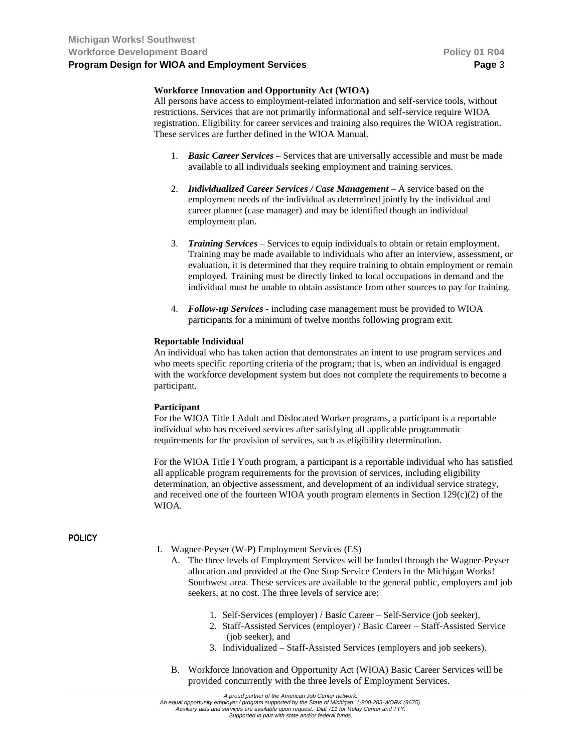## **Workforce Innovation and Opportunity Act (WIOA)**

All persons have access to employment-related information and self-service tools, without restrictions. Services that are not primarily informational and self-service require WIOA registration. Eligibility for career services and training also requires the WIOA registration. These services are further defined in the WIOA Manual.

- 1. *Basic Career Services* Services that are universally accessible and must be made available to all individuals seeking employment and training services.
- 2. *Individualized Career Services / Case Management* A service based on the employment needs of the individual as determined jointly by the individual and career planner (case manager) and may be identified though an individual employment plan.
- 3. *Training Services* Services to equip individuals to obtain or retain employment. Training may be made available to individuals who after an interview, assessment, or evaluation, it is determined that they require training to obtain employment or remain employed. Training must be directly linked to local occupations in demand and the individual must be unable to obtain assistance from other sources to pay for training.
- 4. *Follow-up Services -* including case management must be provided to WIOA participants for a minimum of twelve months following program exit.

## **Reportable Individual**

An individual who has taken action that demonstrates an intent to use program services and who meets specific reporting criteria of the program; that is, when an individual is engaged with the workforce development system but does not complete the requirements to become a participant.

### **Participant**

For the WIOA Title I Adult and Dislocated Worker programs, a participant is a reportable individual who has received services after satisfying all applicable programmatic requirements for the provision of services, such as eligibility determination.

For the WIOA Title I Youth program, a participant is a reportable individual who has satisfied all applicable program requirements for the provision of services, including eligibility determination, an objective assessment, and development of an individual service strategy, and received one of the fourteen WIOA youth program elements in Section  $129(c)(2)$  of the WIOA.

## **POLICY**

- I. Wagner-Peyser (W-P) Employment Services (ES)
	- A. The three levels of Employment Services will be funded through the Wagner-Peyser allocation and provided at the One Stop Service Centers in the Michigan Works! Southwest area. These services are available to the general public, employers and job seekers, at no cost. The three levels of service are:
		- 1. Self-Services (employer) / Basic Career Self-Service (job seeker),
		- 2. Staff-Assisted Services (employer) / Basic Career Staff-Assisted Service (job seeker), and
		- 3. Individualized Staff-Assisted Services (employers and job seekers).
	- B. Workforce Innovation and Opportunity Act (WIOA) Basic Career Services will be provided concurrently with the three levels of Employment Services.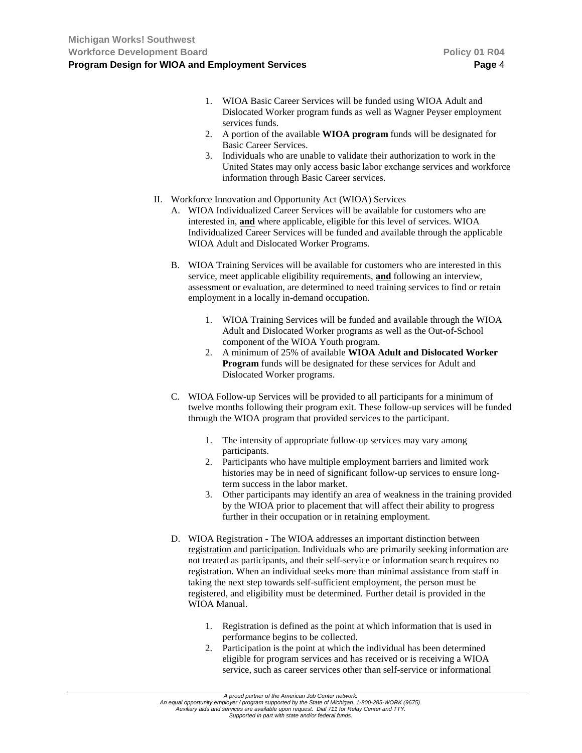- 1. WIOA Basic Career Services will be funded using WIOA Adult and Dislocated Worker program funds as well as Wagner Peyser employment services funds.
- 2. A portion of the available **WIOA program** funds will be designated for Basic Career Services.
- 3. Individuals who are unable to validate their authorization to work in the United States may only access basic labor exchange services and workforce information through Basic Career services.
- II. Workforce Innovation and Opportunity Act (WIOA) Services
	- A. WIOA Individualized Career Services will be available for customers who are interested in, **and** where applicable, eligible for this level of services. WIOA Individualized Career Services will be funded and available through the applicable WIOA Adult and Dislocated Worker Programs.
	- B. WIOA Training Services will be available for customers who are interested in this service, meet applicable eligibility requirements, **and** following an interview, assessment or evaluation, are determined to need training services to find or retain employment in a locally in-demand occupation.
		- 1. WIOA Training Services will be funded and available through the WIOA Adult and Dislocated Worker programs as well as the Out-of-School component of the WIOA Youth program.
		- 2. A minimum of 25% of available **WIOA Adult and Dislocated Worker Program** funds will be designated for these services for Adult and Dislocated Worker programs.
	- C. WIOA Follow-up Services will be provided to all participants for a minimum of twelve months following their program exit. These follow-up services will be funded through the WIOA program that provided services to the participant.
		- 1. The intensity of appropriate follow-up services may vary among participants.
		- 2. Participants who have multiple employment barriers and limited work histories may be in need of significant follow-up services to ensure longterm success in the labor market.
		- 3. Other participants may identify an area of weakness in the training provided by the WIOA prior to placement that will affect their ability to progress further in their occupation or in retaining employment.
	- D. WIOA Registration The WIOA addresses an important distinction between registration and participation. Individuals who are primarily seeking information are not treated as participants, and their self-service or information search requires no registration. When an individual seeks more than minimal assistance from staff in taking the next step towards self-sufficient employment, the person must be registered, and eligibility must be determined. Further detail is provided in the WIOA Manual.
		- 1. Registration is defined as the point at which information that is used in performance begins to be collected.
		- 2. Participation is the point at which the individual has been determined eligible for program services and has received or is receiving a WIOA service, such as career services other than self-service or informational